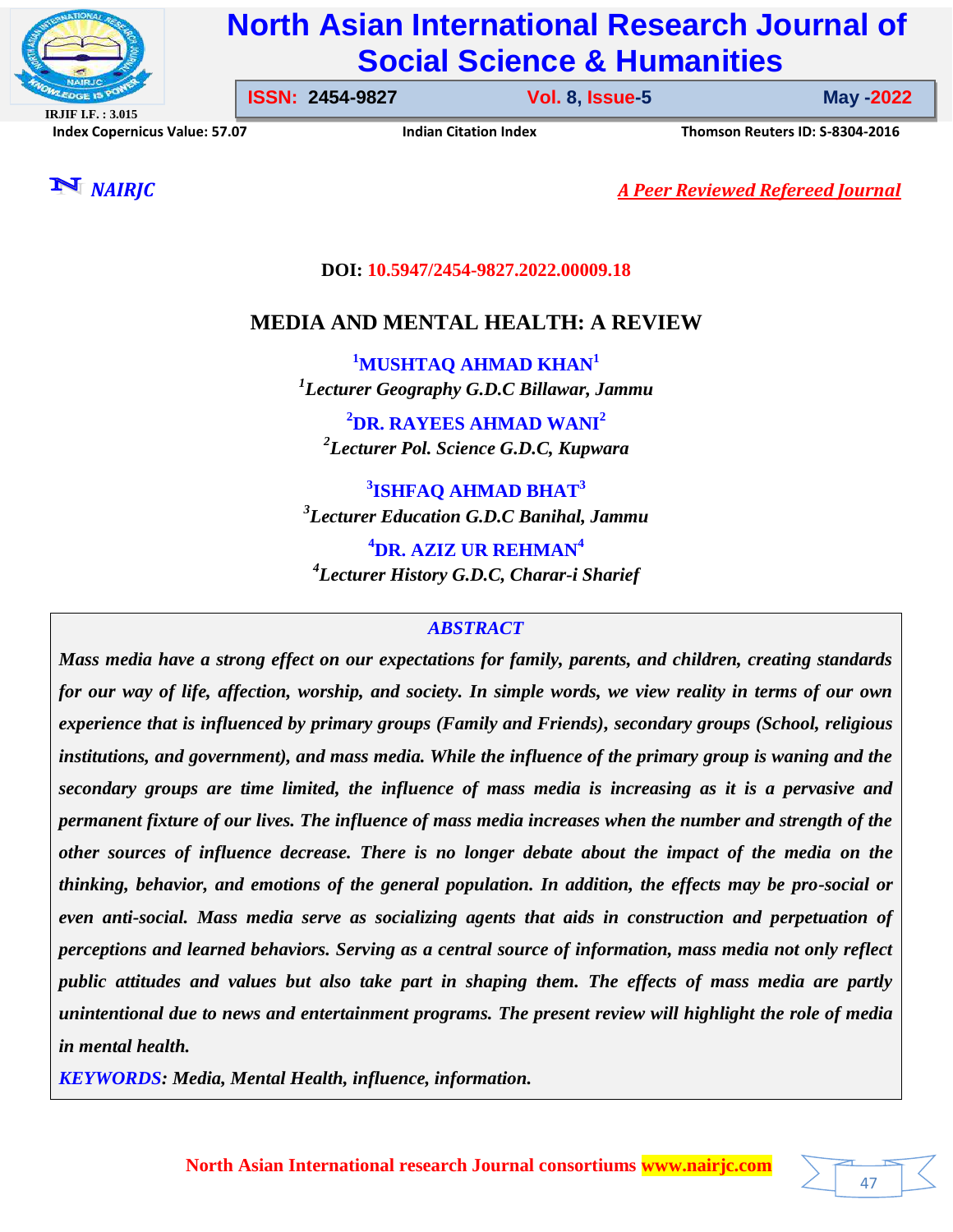

# **North Asian International Research Journal of Social Science & Humanities**

**IRJIF I.F. : 3.015 Index Copernicus Value: 57.07****Indian Citation Index****Thomson Reuters ID: S-8304-2016** 

**ISSN: 2454-9827 Vol. 8, Issue-5** 

**Issue-5 May -2022**

47

*NAIRJC A Peer Reviewed Refereed Journal*

**DOI: 10.5947/2454-9827.2022.00009.18**

## **MEDIA AND MENTAL HEALTH: A REVIEW**

**<sup>1</sup>MUSHTAQ AHMAD KHAN<sup>1</sup>** *1 Lecturer Geography G.D.C Billawar, Jammu*

**<sup>2</sup>DR. RAYEES AHMAD WANI<sup>2</sup>** *2 Lecturer Pol. Science G.D.C, Kupwara*

**3 ISHFAQ AHMAD BHAT<sup>3</sup>** *3 Lecturer Education G.D.C Banihal, Jammu*

**<sup>4</sup>DR. AZIZ UR REHMAN<sup>4</sup>** *4 Lecturer History G.D.C, Charar-i Sharief*

### *ABSTRACT*

*Mass media have a strong effect on our expectations for family, parents, and children, creating standards for our way of life, affection, worship, and society. In simple words, we view reality in terms of our own experience that is influenced by primary groups (Family and Friends), secondary groups (School, religious institutions, and government), and mass media. While the influence of the primary group is waning and the secondary groups are time limited, the influence of mass media is increasing as it is a pervasive and permanent fixture of our lives. The influence of mass media increases when the number and strength of the other sources of influence decrease. There is no longer debate about the impact of the media on the thinking, behavior, and emotions of the general population. In addition, the effects may be pro-social or even anti-social. Mass media serve as socializing agents that aids in construction and perpetuation of perceptions and learned behaviors. Serving as a central source of information, mass media not only reflect public attitudes and values but also take part in shaping them. The effects of mass media are partly unintentional due to news and entertainment programs. The present review will highlight the role of media in mental health.*

*KEYWORDS: Media, Mental Health, influence, information.*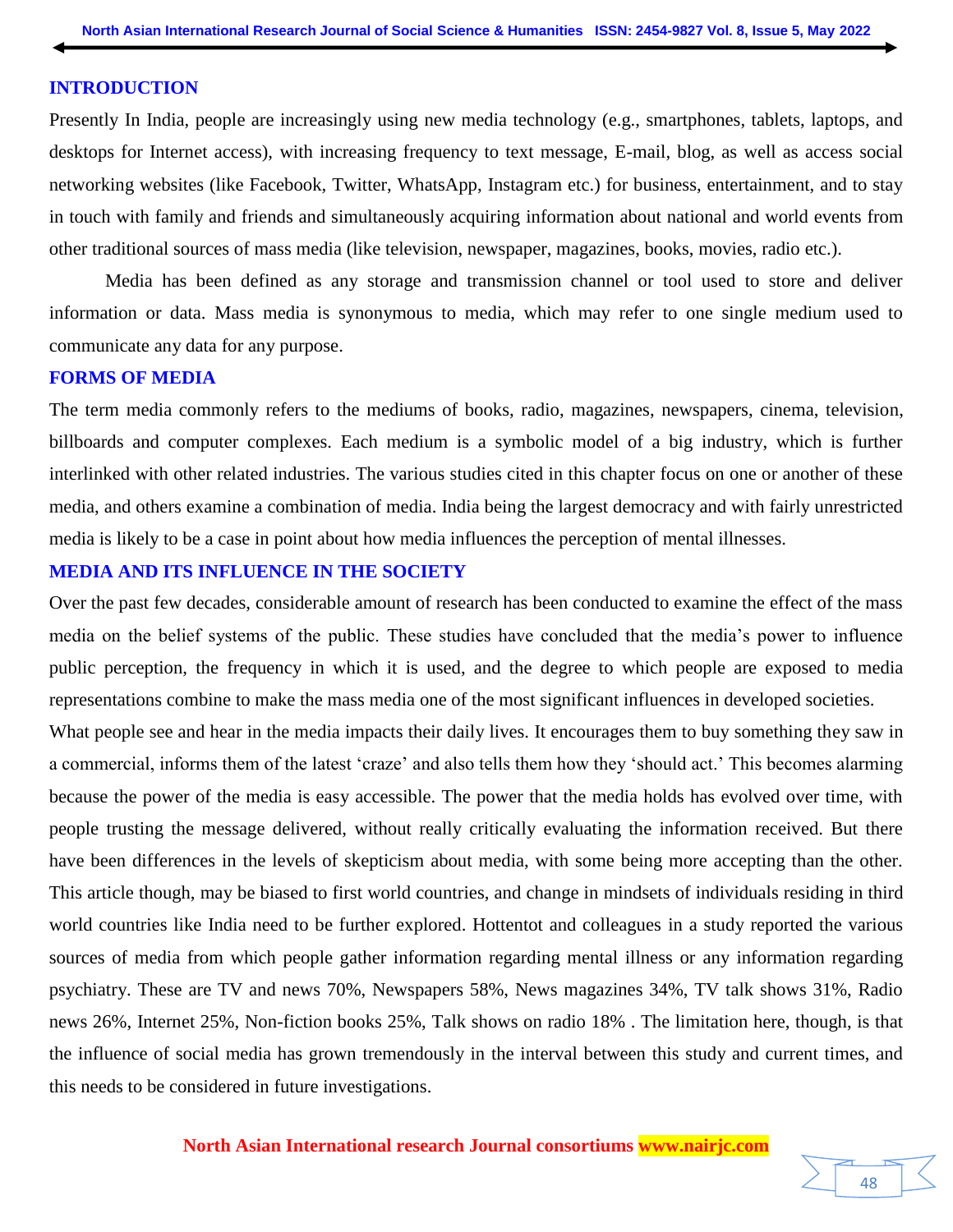#### **INTRODUCTION**

Presently In India, people are increasingly using new media technology (e.g., smartphones, tablets, laptops, and desktops for Internet access), with increasing frequency to text message, E-mail, blog, as well as access social networking websites (like Facebook, Twitter, WhatsApp, Instagram etc.) for business, entertainment, and to stay in touch with family and friends and simultaneously acquiring information about national and world events from other traditional sources of mass media (like television, newspaper, magazines, books, movies, radio etc.).

Media has been defined as any storage and transmission channel or tool used to store and deliver information or data. Mass media is synonymous to media, which may refer to one single medium used to communicate any data for any purpose.

#### **FORMS OF MEDIA**

The term media commonly refers to the mediums of books, radio, magazines, newspapers, cinema, television, billboards and computer complexes. Each medium is a symbolic model of a big industry, which is further interlinked with other related industries. The various studies cited in this chapter focus on one or another of these media, and others examine a combination of media. India being the largest democracy and with fairly unrestricted media is likely to be a case in point about how media influences the perception of mental illnesses.

#### **MEDIA AND ITS INFLUENCE IN THE SOCIETY**

Over the past few decades, considerable amount of research has been conducted to examine the effect of the mass media on the belief systems of the public. These studies have concluded that the media's power to influence public perception, the frequency in which it is used, and the degree to which people are exposed to media representations combine to make the mass media one of the most significant influences in developed societies.

What people see and hear in the media impacts their daily lives. It encourages them to buy something they saw in a commercial, informs them of the latest 'craze' and also tells them how they 'should act.' This becomes alarming because the power of the media is easy accessible. The power that the media holds has evolved over time, with people trusting the message delivered, without really critically evaluating the information received. But there have been differences in the levels of skepticism about media, with some being more accepting than the other. This article though, may be biased to first world countries, and change in mindsets of individuals residing in third world countries like India need to be further explored. Hottentot and colleagues in a study reported the various sources of media from which people gather information regarding mental illness or any information regarding psychiatry. These are TV and news 70%, Newspapers 58%, News magazines 34%, TV talk shows 31%, Radio news 26%, Internet 25%, Non-fiction books 25%, Talk shows on radio 18% . The limitation here, though, is that the influence of social media has grown tremendously in the interval between this study and current times, and this needs to be considered in future investigations.

#### **North Asian International research Journal consortiums www.nairjc.com**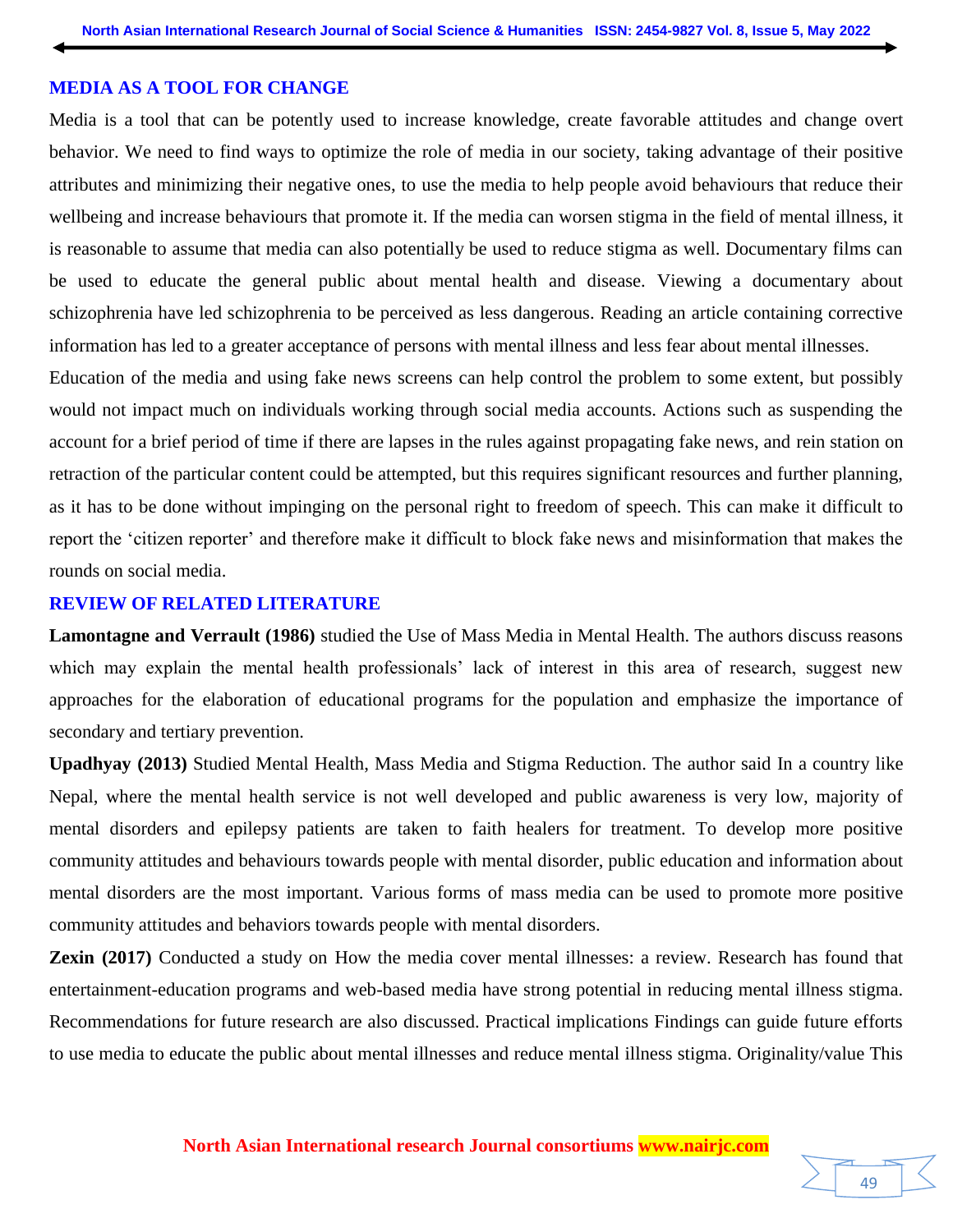#### **MEDIA AS A TOOL FOR CHANGE**

Media is a tool that can be potently used to increase knowledge, create favorable attitudes and change overt behavior. We need to find ways to optimize the role of media in our society, taking advantage of their positive attributes and minimizing their negative ones, to use the media to help people avoid behaviours that reduce their wellbeing and increase behaviours that promote it. If the media can worsen stigma in the field of mental illness, it is reasonable to assume that media can also potentially be used to reduce stigma as well. Documentary films can be used to educate the general public about mental health and disease. Viewing a documentary about schizophrenia have led schizophrenia to be perceived as less dangerous. Reading an article containing corrective information has led to a greater acceptance of persons with mental illness and less fear about mental illnesses.

Education of the media and using fake news screens can help control the problem to some extent, but possibly would not impact much on individuals working through social media accounts. Actions such as suspending the account for a brief period of time if there are lapses in the rules against propagating fake news, and rein station on retraction of the particular content could be attempted, but this requires significant resources and further planning, as it has to be done without impinging on the personal right to freedom of speech. This can make it difficult to report the 'citizen reporter' and therefore make it difficult to block fake news and misinformation that makes the rounds on social media.

#### **REVIEW OF RELATED LITERATURE**

**Lamontagne and Verrault (1986)** studied the Use of Mass Media in Mental Health. The authors discuss reasons which may explain the mental health professionals' lack of interest in this area of research, suggest new approaches for the elaboration of educational programs for the population and emphasize the importance of secondary and tertiary prevention.

**Upadhyay (2013)** Studied Mental Health, Mass Media and Stigma Reduction. The author said In a country like Nepal, where the mental health service is not well developed and public awareness is very low, majority of mental disorders and epilepsy patients are taken to faith healers for treatment. To develop more positive community attitudes and behaviours towards people with mental disorder, public education and information about mental disorders are the most important. Various forms of mass media can be used to promote more positive community attitudes and behaviors towards people with mental disorders.

**Zexin (2017)** Conducted a study on How the media cover mental illnesses: a review. Research has found that entertainment-education programs and web-based media have strong potential in reducing mental illness stigma. Recommendations for future research are also discussed. Practical implications Findings can guide future efforts to use media to educate the public about mental illnesses and reduce mental illness stigma. Originality/value This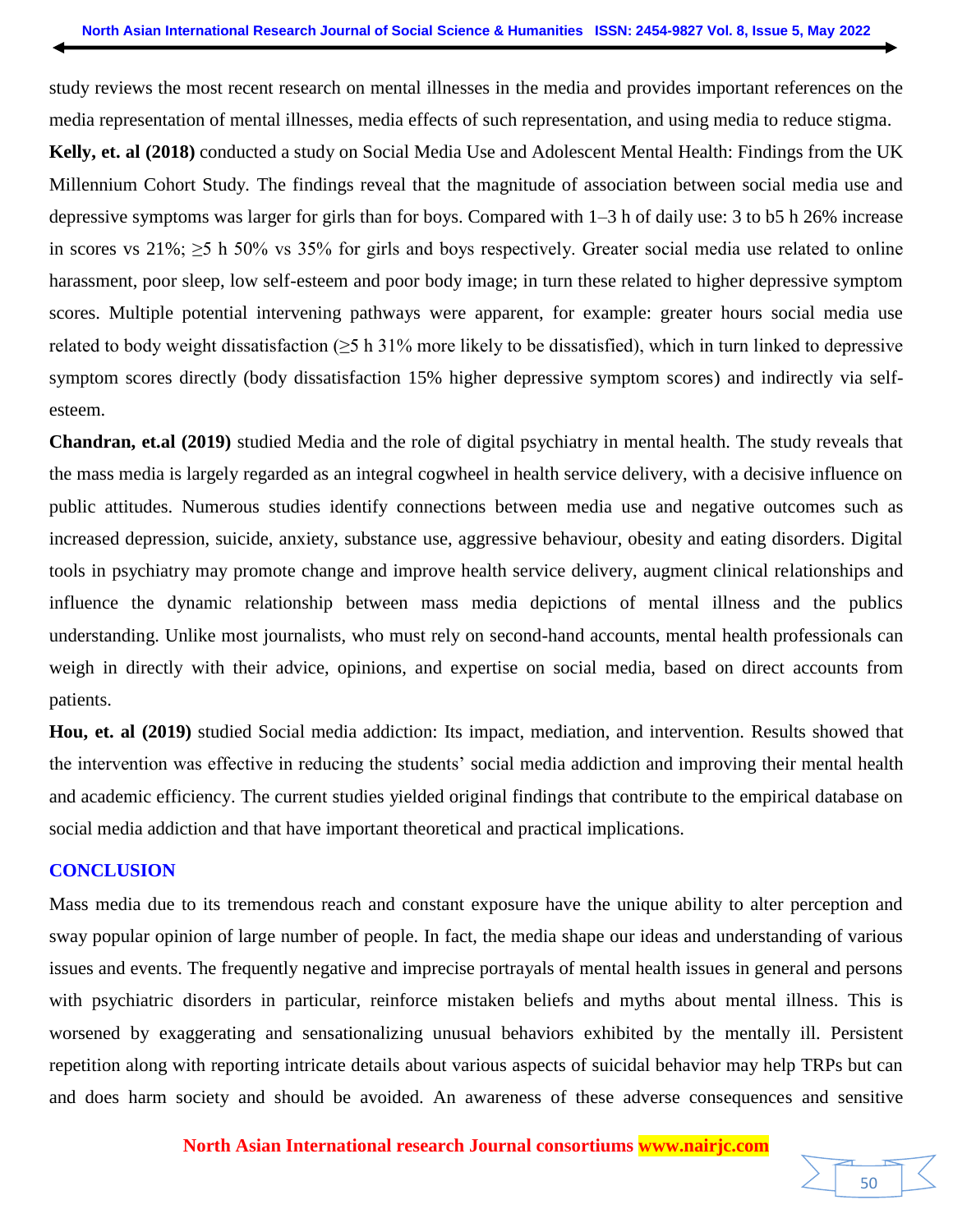study reviews the most recent research on mental illnesses in the media and provides important references on the media representation of mental illnesses, media effects of such representation, and using media to reduce stigma.

**Kelly, et. al (2018)** conducted a study on Social Media Use and Adolescent Mental Health: Findings from the UK Millennium Cohort Study*.* The findings reveal that the magnitude of association between social media use and depressive symptoms was larger for girls than for boys. Compared with 1–3 h of daily use: 3 to b5 h 26% increase in scores vs 21%; ≥5 h 50% vs 35% for girls and boys respectively. Greater social media use related to online harassment, poor sleep, low self-esteem and poor body image; in turn these related to higher depressive symptom scores. Multiple potential intervening pathways were apparent, for example: greater hours social media use related to body weight dissatisfaction (≥5 h 31% more likely to be dissatisfied), which in turn linked to depressive symptom scores directly (body dissatisfaction 15% higher depressive symptom scores) and indirectly via selfesteem.

**Chandran, et.al (2019)** studied Media and the role of digital psychiatry in mental health. The study reveals that the mass media is largely regarded as an integral cogwheel in health service delivery, with a decisive influence on public attitudes. Numerous studies identify connections between media use and negative outcomes such as increased depression, suicide, anxiety, substance use, aggressive behaviour, obesity and eating disorders. Digital tools in psychiatry may promote change and improve health service delivery, augment clinical relationships and influence the dynamic relationship between mass media depictions of mental illness and the publics understanding. Unlike most journalists, who must rely on second-hand accounts, mental health professionals can weigh in directly with their advice, opinions, and expertise on social media, based on direct accounts from patients.

**Hou, et. al (2019)** studied Social media addiction: Its impact, mediation, and intervention. Results showed that the intervention was effective in reducing the students' social media addiction and improving their mental health and academic efficiency. The current studies yielded original findings that contribute to the empirical database on social media addiction and that have important theoretical and practical implications.

#### **CONCLUSION**

Mass media due to its tremendous reach and constant exposure have the unique ability to alter perception and sway popular opinion of large number of people. In fact, the media shape our ideas and understanding of various issues and events. The frequently negative and imprecise portrayals of mental health issues in general and persons with psychiatric disorders in particular, reinforce mistaken beliefs and myths about mental illness. This is worsened by exaggerating and sensationalizing unusual behaviors exhibited by the mentally ill. Persistent repetition along with reporting intricate details about various aspects of suicidal behavior may help TRPs but can and does harm society and should be avoided. An awareness of these adverse consequences and sensitive

**North Asian International research Journal consortiums www.nairjc.com**